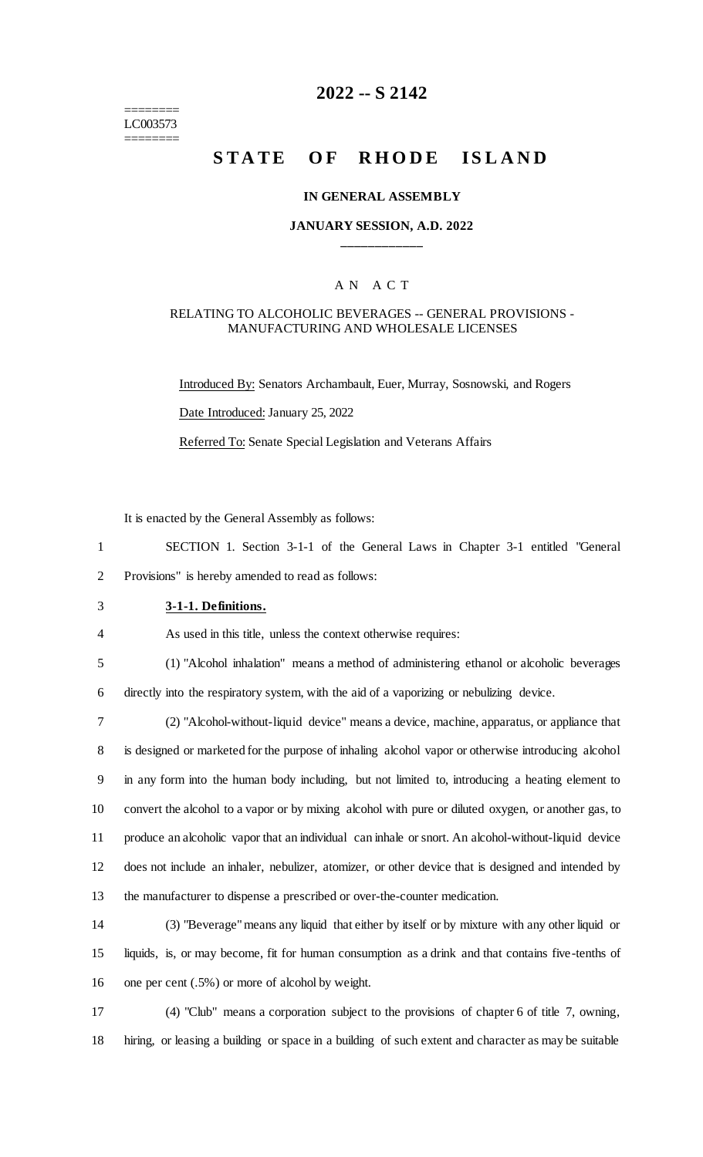#### ======== LC003573 ========

# **2022 -- S 2142**

# **STATE OF RHODE ISLAND**

#### **IN GENERAL ASSEMBLY**

### **JANUARY SESSION, A.D. 2022 \_\_\_\_\_\_\_\_\_\_\_\_**

## A N A C T

#### RELATING TO ALCOHOLIC BEVERAGES -- GENERAL PROVISIONS - MANUFACTURING AND WHOLESALE LICENSES

Introduced By: Senators Archambault, Euer, Murray, Sosnowski, and Rogers Date Introduced: January 25, 2022 Referred To: Senate Special Legislation and Veterans Affairs

It is enacted by the General Assembly as follows:

1 SECTION 1. Section 3-1-1 of the General Laws in Chapter 3-1 entitled "General 2 Provisions" is hereby amended to read as follows:

3 **3-1-1. Definitions.**

4 As used in this title, unless the context otherwise requires:

5 (1) "Alcohol inhalation" means a method of administering ethanol or alcoholic beverages 6 directly into the respiratory system, with the aid of a vaporizing or nebulizing device.

 (2) "Alcohol-without-liquid device" means a device, machine, apparatus, or appliance that is designed or marketed for the purpose of inhaling alcohol vapor or otherwise introducing alcohol in any form into the human body including, but not limited to, introducing a heating element to convert the alcohol to a vapor or by mixing alcohol with pure or diluted oxygen, or another gas, to produce an alcoholic vapor that an individual can inhale or snort. An alcohol-without-liquid device does not include an inhaler, nebulizer, atomizer, or other device that is designed and intended by the manufacturer to dispense a prescribed or over-the-counter medication.

14 (3) "Beverage" means any liquid that either by itself or by mixture with any other liquid or 15 liquids, is, or may become, fit for human consumption as a drink and that contains five-tenths of 16 one per cent (.5%) or more of alcohol by weight.

17 (4) "Club" means a corporation subject to the provisions of chapter 6 of title 7, owning, 18 hiring, or leasing a building or space in a building of such extent and character as may be suitable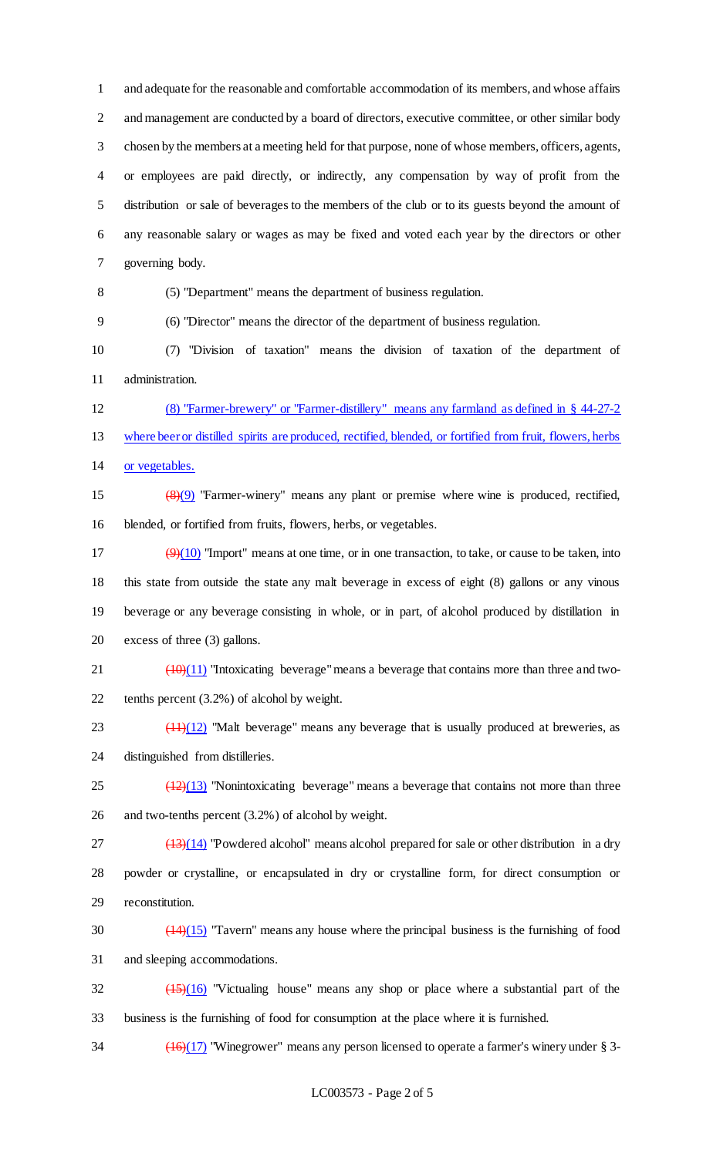and adequate for the reasonable and comfortable accommodation of its members, and whose affairs 2 and management are conducted by a board of directors, executive committee, or other similar body chosen by the members at a meeting held for that purpose, none of whose members, officers, agents, or employees are paid directly, or indirectly, any compensation by way of profit from the distribution or sale of beverages to the members of the club or to its guests beyond the amount of any reasonable salary or wages as may be fixed and voted each year by the directors or other governing body.

(5) "Department" means the department of business regulation.

(6) "Director" means the director of the department of business regulation.

 (7) "Division of taxation" means the division of taxation of the department of administration.

 (8) "Farmer-brewery" or "Farmer-distillery" means any farmland as defined in § 44-27-2 where beer or distilled spirits are produced, rectified, blended, or fortified from fruit, flowers, herbs or vegetables.

 (8)(9) "Farmer-winery" means any plant or premise where wine is produced, rectified, blended, or fortified from fruits, flowers, herbs, or vegetables.

 $(9)(10)$  "Import" means at one time, or in one transaction, to take, or cause to be taken, into this state from outside the state any malt beverage in excess of eight (8) gallons or any vinous beverage or any beverage consisting in whole, or in part, of alcohol produced by distillation in excess of three (3) gallons.

21  $\left(\frac{(10)(11)}{10}\right)$  "Intoxicating beverage" means a beverage that contains more than three and two-tenths percent (3.2%) of alcohol by weight.

 $\frac{(11)(12)}{23}$  "Malt beverage" means any beverage that is usually produced at breweries, as distinguished from distilleries.

 $\frac{(12)(13)}{25}$  "Nonintoxicating beverage" means a beverage that contains not more than three and two-tenths percent (3.2%) of alcohol by weight.

 ( $\frac{(13)(14)}{27}$  "Powdered alcohol" means alcohol prepared for sale or other distribution in a dry powder or crystalline, or encapsulated in dry or crystalline form, for direct consumption or reconstitution.

 $\frac{(14)(15)}{20}$  "Tavern" means any house where the principal business is the furnishing of food and sleeping accommodations.

 $\frac{(15)(16)}{15}$  "Victualing house" means any shop or place where a substantial part of the business is the furnishing of food for consumption at the place where it is furnished.

34 (16)(17) "Winegrower" means any person licensed to operate a farmer's winery under § 3-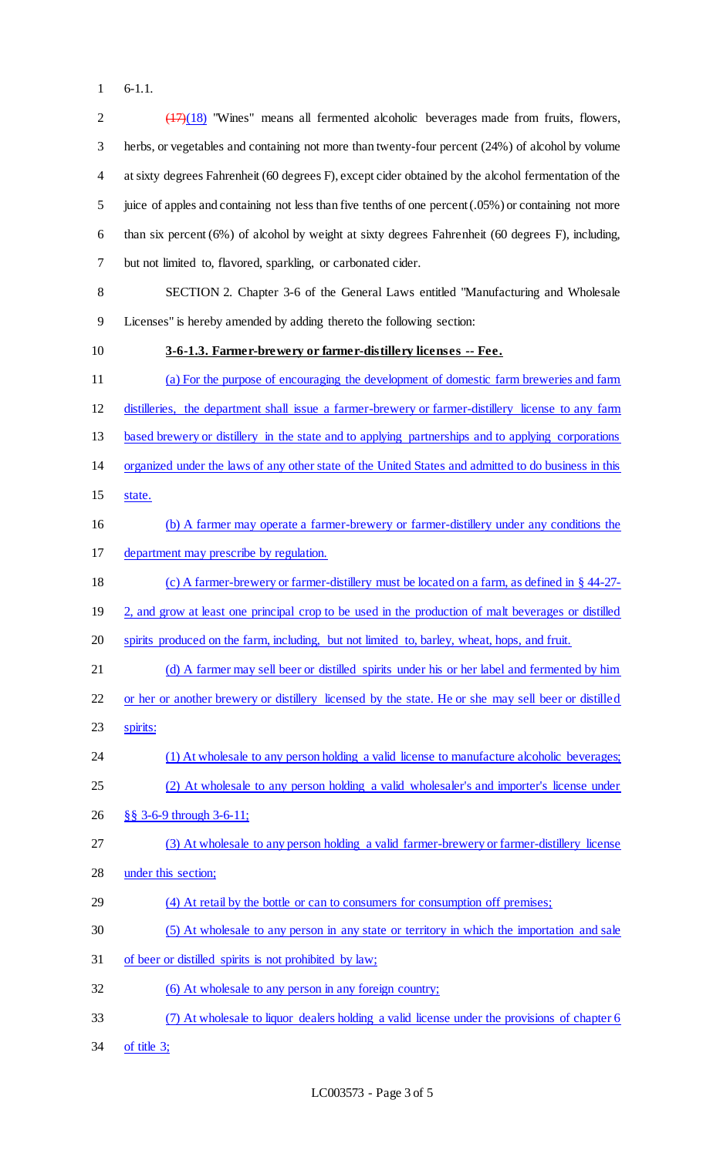6-1.1.

| $\overline{2}$ | $(17)(18)$ "Wines" means all fermented alcoholic beverages made from fruits, flowers,                          |
|----------------|----------------------------------------------------------------------------------------------------------------|
| 3              | herbs, or vegetables and containing not more than twenty-four percent (24%) of alcohol by volume               |
| 4              | at sixty degrees Fahrenheit (60 degrees F), except cider obtained by the alcohol fermentation of the           |
| 5              | juice of apples and containing not less than five tenths of one percent (.05%) or containing not more          |
| 6              | than six percent $(6%)$ of alcohol by weight at sixty degrees Fahrenheit $(60 \text{ degrees F})$ , including, |
| 7              | but not limited to, flavored, sparkling, or carbonated cider.                                                  |
| 8              | SECTION 2. Chapter 3-6 of the General Laws entitled "Manufacturing and Wholesale                               |
| 9              | Licenses" is hereby amended by adding thereto the following section:                                           |
| 10             | 3-6-1.3. Farmer-brewery or farmer-distillery licenses -- Fee.                                                  |
| 11             | (a) For the purpose of encouraging the development of domestic farm breweries and farm                         |
| 12             | distilleries, the department shall issue a farmer-brewery or farmer-distillery license to any farm             |
| 13             | based brewery or distillery in the state and to applying partnerships and to applying corporations             |
| 14             | organized under the laws of any other state of the United States and admitted to do business in this           |
| 15             | state.                                                                                                         |
| 16             | (b) A farmer may operate a farmer-brewery or farmer-distillery under any conditions the                        |
| 17             | department may prescribe by regulation.                                                                        |
| 18             | (c) A farmer-brewery or farmer-distillery must be located on a farm, as defined in § 44-27-                    |
| 19             | 2, and grow at least one principal crop to be used in the production of malt beverages or distilled            |
| 20             | spirits produced on the farm, including, but not limited to, barley, wheat, hops, and fruit.                   |
| 21             | (d) A farmer may sell beer or distilled spirits under his or her label and fermented by him                    |
| 22             | or her or another brewery or distillery licensed by the state. He or she may sell beer or distilled            |
| 23             | spirits:                                                                                                       |
| 24             | (1) At wholesale to any person holding a valid license to manufacture alcoholic beverages;                     |
| 25             | (2) At wholesale to any person holding a valid wholesaler's and importer's license under                       |
| 26             | §§ 3-6-9 through 3-6-11;                                                                                       |
| 27             | (3) At wholesale to any person holding a valid farmer-brewery or farmer-distillery license                     |
| 28             | under this section;                                                                                            |
| 29             | (4) At retail by the bottle or can to consumers for consumption off premises;                                  |
| 30             | (5) At wholesale to any person in any state or territory in which the importation and sale                     |
| 31             | of beer or distilled spirits is not prohibited by law;                                                         |
| 32             | (6) At wholesale to any person in any foreign country;                                                         |
| 33             | (7) At wholesale to liquor dealers holding a valid license under the provisions of chapter 6                   |

of title 3;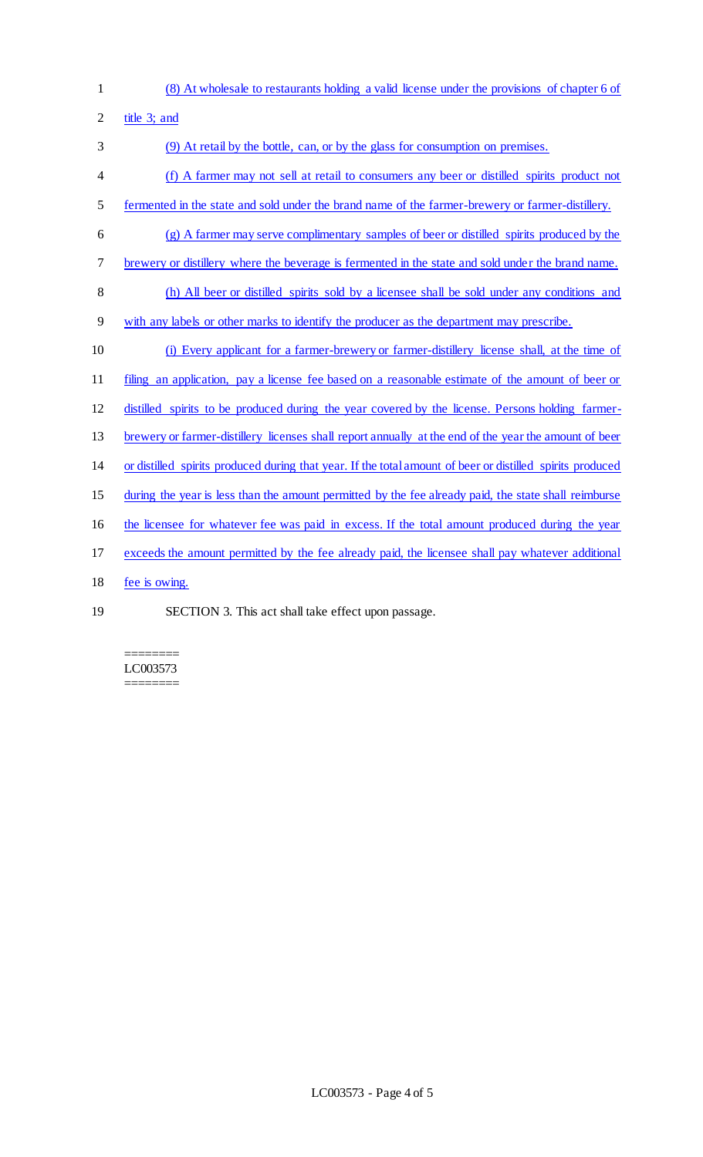- 
- (8) At wholesale to restaurants holding a valid license under the provisions of chapter 6 of

title 3; and

 (9) At retail by the bottle, can, or by the glass for consumption on premises. (f) A farmer may not sell at retail to consumers any beer or distilled spirits product not 5 fermented in the state and sold under the brand name of the farmer-brewery or farmer-distillery. (g) A farmer may serve complimentary samples of beer or distilled spirits produced by the brewery or distillery where the beverage is fermented in the state and sold under the brand name. (h) All beer or distilled spirits sold by a licensee shall be sold under any conditions and with any labels or other marks to identify the producer as the department may prescribe. (i) Every applicant for a farmer-brewery or farmer-distillery license shall, at the time of filing an application, pay a license fee based on a reasonable estimate of the amount of beer or distilled spirits to be produced during the year covered by the license. Persons holding farmer- brewery or farmer-distillery licenses shall report annually at the end of the year the amount of beer or distilled spirits produced during that year. If the total amount of beer or distilled spirits produced during the year is less than the amount permitted by the fee already paid, the state shall reimburse the licensee for whatever fee was paid in excess. If the total amount produced during the year exceeds the amount permitted by the fee already paid, the licensee shall pay whatever additional 18 fee is owing. SECTION 3. This act shall take effect upon passage.

======== LC003573 ========